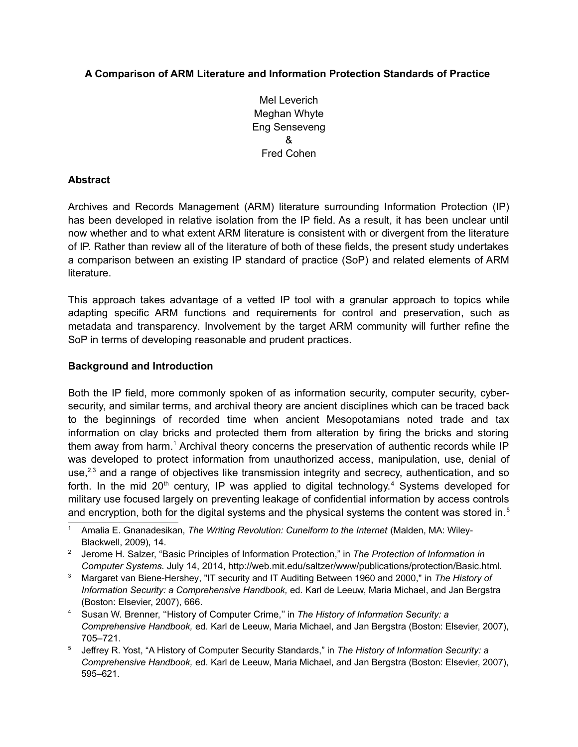# **A Comparison of ARM Literature and Information Protection Standards of Practice**

Mel Leverich Meghan Whyte Eng Senseveng & Fred Cohen

#### **Abstract**

Archives and Records Management (ARM) literature surrounding Information Protection (IP) has been developed in relative isolation from the IP field. As a result, it has been unclear until now whether and to what extent ARM literature is consistent with or divergent from the literature of IP. Rather than review all of the literature of both of these fields, the present study undertakes a comparison between an existing IP standard of practice (SoP) and related elements of ARM literature.

This approach takes advantage of a vetted IP tool with a granular approach to topics while adapting specific ARM functions and requirements for control and preservation, such as metadata and transparency. Involvement by the target ARM community will further refine the SoP in terms of developing reasonable and prudent practices.

#### **Background and Introduction**

Both the IP field, more commonly spoken of as information security, computer security, cybersecurity, and similar terms, and archival theory are ancient disciplines which can be traced back to the beginnings of recorded time when ancient Mesopotamians noted trade and tax information on clay bricks and protected them from alteration by firing the bricks and storing them away from harm.<sup>[1](#page-0-0)</sup> Archival theory concerns the preservation of authentic records while IP was developed to protect information from unauthorized access, manipulation, use, denial of use,<sup>[2](#page-0-1)[,3](#page-0-2)</sup> and a range of objectives like transmission integrity and secrecy, authentication, and so forth. In the mid 20<sup>th</sup> century, IP was applied to digital technology.<sup>[4](#page-0-3)</sup> Systems developed for military use focused largely on preventing leakage of confidential information by access controls and encryption, both for the digital systems and the physical systems the content was stored in.<sup>[5](#page-0-4)</sup>

<span id="page-0-0"></span><sup>1</sup> Amalia E. Gnanadesikan, *The Writing Revolution: Cuneiform to the Internet* (Malden, MA: Wiley-Blackwell, 2009), 14.

<span id="page-0-1"></span><sup>2</sup> Jerome H. Salzer, "Basic Principles of Information Protection," in *The Protection of Information in Computer Systems.* July 14, 2014, http://web.mit.edu/saltzer/www/publications/protection/Basic.html.

<span id="page-0-2"></span><sup>3</sup> Margaret van Biene-Hershey, "IT security and IT Auditing Between 1960 and 2000," in *The History of Information Security: a Comprehensive Handbook,* ed*.* Karl de Leeuw, Maria Michael, and Jan Bergstra (Boston: Elsevier, 2007), 666.

<span id="page-0-3"></span><sup>4</sup> Susan W. Brenner, ''History of Computer Crime,'' in *The History of Information Security: a Comprehensive Handbook,* ed*.* Karl de Leeuw, Maria Michael, and Jan Bergstra (Boston: Elsevier, 2007), 705–721.

<span id="page-0-4"></span><sup>5</sup> Jeffrey R. Yost, "A History of Computer Security Standards," in *The History of Information Security: a Comprehensive Handbook,* ed*.* Karl de Leeuw, Maria Michael, and Jan Bergstra (Boston: Elsevier, 2007), 595–621.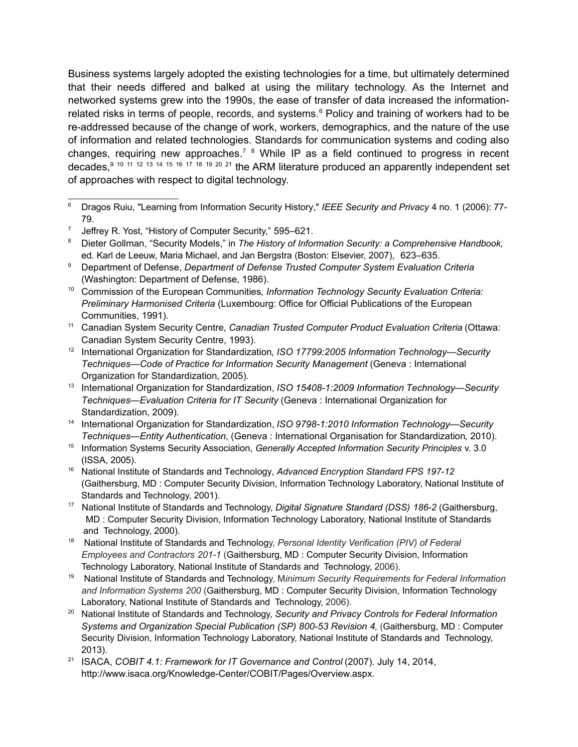Business systems largely adopted the existing technologies for a time, but ultimately determined that their needs differed and balked at using the military technology. As the Internet and networked systems grew into the 1990s, the ease of transfer of data increased the information-related risks in terms of people, records, and systems.<sup>[6](#page-1-0)</sup> Policy and training of workers had to be re-addressed because of the change of work, workers, demographics, and the nature of the use of information and related technologies. Standards for communication systems and coding also changes, requiring new approaches.<sup>[7](#page-1-1)</sup> <sup>[8](#page-1-2)</sup> While IP as a field continued to progress in recent decades,[9](#page-1-3) [10](#page-1-4) [11](#page-1-5) [12](#page-1-6) [13](#page-1-7) [14](#page-1-8) [15](#page-1-9) [16](#page-1-10) [17](#page-1-11) [18](#page-1-12) [19](#page-1-13) [20](#page-1-14) [21](#page-1-15) the ARM literature produced an apparently independent set of approaches with respect to digital technology.

<span id="page-1-3"></span><sup>9</sup> Department of Defense, *Department of Defense Trusted Computer System Evaluation Criteria* (Washington: Department of Defense, 1986).

<span id="page-1-4"></span><sup>10</sup> Commission of the European Communities, *Information Technology Security Evaluation Criteria: Preliminary Harmonised Criteria* (Luxembourg: Office for Official Publications of the European Communities, 1991).

- <span id="page-1-5"></span><sup>11</sup> Canadian System Security Centre, *Canadian Trusted Computer Product Evaluation Criteria* (Ottawa: Canadian System Security Centre, 1993).
- <span id="page-1-6"></span><sup>12</sup> International Organization for Standardization, *ISO 17799:2005 Information Technology—Security Techniques—Code of Practice for Information Security Management* (Geneva : International Organization for Standardization, 2005).
- <span id="page-1-7"></span><sup>13</sup> International Organization for Standardization, *ISO 15408-1:2009 Information Technology—Security Techniques—Evaluation Criteria for IT Security* (Geneva : International Organization for Standardization, 2009).
- <span id="page-1-8"></span><sup>14</sup> International Organization for Standardization, *ISO 9798-1:2010 Information Technology—Security Techniques—Entity Authentication*, (Geneva : International Organisation for Standardization, 2010).
- <span id="page-1-9"></span><sup>15</sup> Information Systems Security Association, *Generally Accepted Information Security Principles* v. 3.0 (ISSA, 2005).
- <span id="page-1-10"></span><sup>16</sup> National Institute of Standards and Technology, *Advanced Encryption Standard FPS 197-12* (Gaithersburg, MD : Computer Security Division, Information Technology Laboratory, National Institute of Standards and Technology, 2001).
- <span id="page-1-11"></span>17 National Institute of Standards and Technology, *Digital Signature Standard (DSS) 186-2* (Gaithersburg, MD : Computer Security Division, Information Technology Laboratory, National Institute of Standards and Technology, 2000).
- <span id="page-1-12"></span><sup>18</sup> National Institute of Standards and Technology, *Personal Identity Verification (PIV) of Federal Employees and Contractors 201-1* (Gaithersburg, MD : Computer Security Division, Information Technology Laboratory, National Institute of Standards and Technology, 2006).
- <span id="page-1-13"></span><sup>19</sup> National Institute of Standards and Technology, M*inimum Security Requirements for Federal Information and Information Systems 200* (Gaithersburg, MD : Computer Security Division, Information Technology Laboratory, National Institute of Standards and Technology, 2006).
- <span id="page-1-14"></span><sup>20</sup> National Institute of Standards and Technology, *Security and Privacy Controls for Federal Information Systems and Organization Special Publication (SP) 800-53 Revision 4*, (Gaithersburg, MD : Computer Security Division, Information Technology Laboratory, National Institute of Standards and Technology, 2013).
- <span id="page-1-15"></span><sup>21</sup> ISACA, *COBIT 4.1: Framework for IT Governance and Control* (2007). July 14, 2014, http://www.isaca.org/Knowledge-Center/COBIT/Pages/Overview.aspx.

<span id="page-1-0"></span><sup>6</sup> Dragos Ruiu, "Learning from Information Security History," *IEEE Security and Privacy* 4 no. 1 (2006): 77- 79.

<span id="page-1-1"></span><sup>7</sup> Jeffrey R. Yost, "History of Computer Security," 595–621.

<span id="page-1-2"></span><sup>8</sup> Dieter Gollman, "Security Models," in *The History of Information Security: a Comprehensive Handbook,*  ed*.* Karl de Leeuw, Maria Michael, and Jan Bergstra (Boston: Elsevier, 2007), 623–635.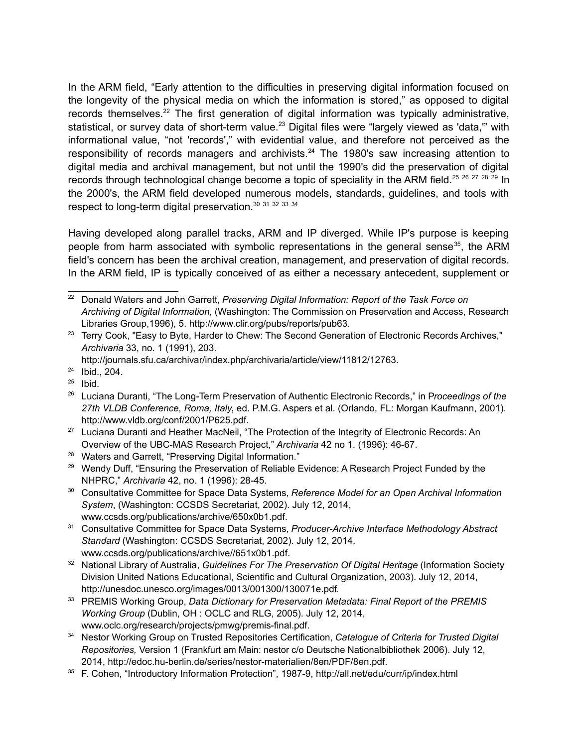In the ARM field, "Early attention to the difficulties in preserving digital information focused on the longevity of the physical media on which the information is stored," as opposed to digital records themselves.<sup>[22](#page-2-0)</sup> The first generation of digital information was typically administrative, statistical, or survey data of short-term value.<sup>[23](#page-2-1)</sup> Digital files were "largely viewed as 'data," with informational value, "not 'records'," with evidential value, and therefore not perceived as the responsibility of records managers and archivists.<sup>[24](#page-2-2)</sup> The 1980's saw increasing attention to digital media and archival management, but not until the 1990's did the preservation of digital records through technological change become a topic of speciality in the ARM field.<sup>[25](#page-2-3)</sup> [26](#page-2-4) <sup>[27](#page-2-5)</sup> [28](#page-2-6) <sup>[29](#page-2-7)</sup> In the 2000's, the ARM field developed numerous models, standards, guidelines, and tools with respect to long-term digital preservation.[30](#page-2-8) [31](#page-2-9) [32](#page-2-10) [33](#page-2-11) [34](#page-2-12)

Having developed along parallel tracks, ARM and IP diverged. While IP's purpose is keeping people from harm associated with symbolic representations in the general sense<sup>[35](#page-2-13)</sup>, the ARM field's concern has been the archival creation, management, and preservation of digital records. In the ARM field, IP is typically conceived of as either a necessary antecedent, supplement or

http://journals.sfu.ca/archivar/index.php/archivaria/article/view/11812/12763.

- <span id="page-2-3"></span> $25$  Ibid.
- <span id="page-2-4"></span><sup>26</sup> Luciana Duranti, "The Long-Term Preservation of Authentic Electronic Records," in P*roceedings of the 27th VLDB Conference, Roma, Italy*, ed. P.M.G. Aspers et al. (Orlando, FL: Morgan Kaufmann, 2001). http://www.vldb.org/conf/2001/P625.pdf.
- <span id="page-2-5"></span><sup>27</sup> Luciana Duranti and Heather MacNeil, "The Protection of the Integrity of Electronic Records: An Overview of the UBC-MAS Research Project," *Archivaria* 42 no 1. (1996): 46-67.
- <span id="page-2-6"></span><sup>28</sup> Waters and Garrett, "Preserving Digital Information."
- <span id="page-2-7"></span><sup>29</sup> Wendy Duff, "Ensuring the Preservation of Reliable Evidence: A Research Project Funded by the NHPRC," *Archivaria* 42, no. 1 (1996): 28-45.
- <span id="page-2-8"></span><sup>30</sup> Consultative Committee for Space Data Systems, *Reference Model for an Open Archival Information System*, (Washington: CCSDS Secretariat, 2002). July 12, 2014, www.ccsds.org/publications/archive/650x0b1.pdf.
- <span id="page-2-9"></span><sup>31</sup> Consultative Committee for Space Data Systems, *Producer-Archive Interface Methodology Abstract Standard* (Washington: CCSDS Secretariat, 2002). July 12, 2014. www.ccsds.org/publications/archive//651x0b1.pdf.
- <span id="page-2-10"></span><sup>32</sup> National Library of Australia, *Guidelines For The Preservation Of Digital Heritage* (Information Society Division United Nations Educational, Scientific and Cultural Organization, 2003). July 12, 2014, http://unesdoc.unesco.org/images/0013/001300/130071e.pdf.
- <span id="page-2-11"></span><sup>33</sup> PREMIS Working Group, *Data Dictionary for Preservation Metadata: Final Report of the PREMIS Working Group* (Dublin, OH : OCLC and RLG, 2005). July 12, 2014, www.oclc.org/research/projects/pmwg/premis-final.pdf.
- <span id="page-2-12"></span><sup>34</sup> Nestor Working Group on Trusted Repositories Certification, *Catalogue of Criteria for Trusted Digital Repositories,* Version 1 (Frankfurt am Main: nestor c/o Deutsche Nationalbibliothek 2006). July 12, 2014, http://edoc.hu-berlin.de/series/nestor-materialien/8en/PDF/8en.pdf.
- <span id="page-2-13"></span><sup>35</sup> F. Cohen, "Introductory Information Protection", 1987-9, http://all.net/edu/curr/ip/index.html

<span id="page-2-0"></span><sup>22</sup> Donald Waters and John Garrett, *Preserving Digital Information: Report of the Task Force on Archiving of Digital Information*, (Washington: The Commission on Preservation and Access, Research Libraries Group,1996), 5. http://www.clir.org/pubs/reports/pub63.

<span id="page-2-1"></span><sup>&</sup>lt;sup>23</sup> Terry Cook, "Easy to Byte, Harder to Chew: The Second Generation of Electronic Records Archives," *Archivaria* 33, no. 1 (1991), 203.

<span id="page-2-2"></span><sup>24</sup> Ibid., 204.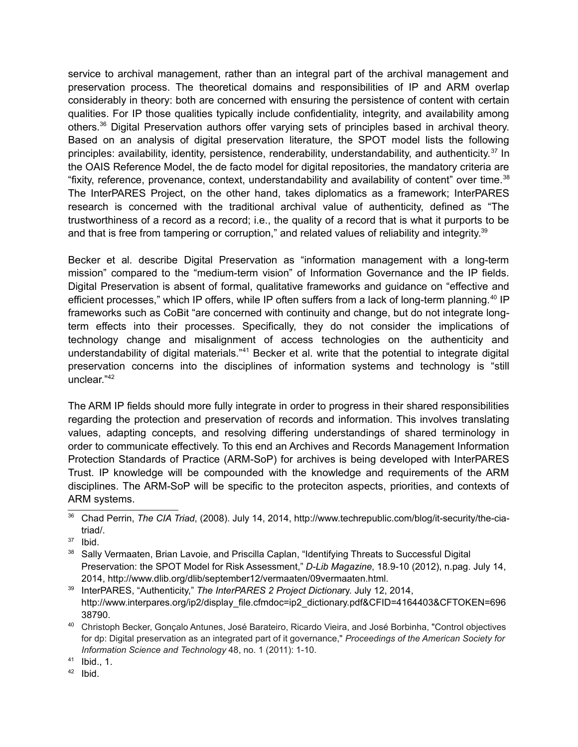service to archival management, rather than an integral part of the archival management and preservation process. The theoretical domains and responsibilities of IP and ARM overlap considerably in theory: both are concerned with ensuring the persistence of content with certain qualities. For IP those qualities typically include confidentiality, integrity, and availability among others.[36](#page-3-0) Digital Preservation authors offer varying sets of principles based in archival theory. Based on an analysis of digital preservation literature, the SPOT model lists the following principles: availability, identity, persistence, renderability, understandability, and authenticity.[37](#page-3-1) In the OAIS Reference Model, the de facto model for digital repositories, the mandatory criteria are "fixity, reference, provenance, context, understandability and availability of content" over time.[38](#page-3-2) The InterPARES Project, on the other hand, takes diplomatics as a framework; InterPARES research is concerned with the traditional archival value of authenticity, defined as "The trustworthiness of a record as a record; i.e., the quality of a record that is what it purports to be and that is free from tampering or corruption," and related values of reliability and integrity.<sup>[39](#page-3-3)</sup>

Becker et al. describe Digital Preservation as "information management with a long-term mission" compared to the "medium-term vision" of Information Governance and the IP fields. Digital Preservation is absent of formal, qualitative frameworks and guidance on "effective and efficient processes," which IP offers, while IP often suffers from a lack of long-term planning.<sup>[40](#page-3-4)</sup> IP frameworks such as CoBit "are concerned with continuity and change, but do not integrate longterm effects into their processes. Specifically, they do not consider the implications of technology change and misalignment of access technologies on the authenticity and understandability of digital materials."<sup>[41](#page-3-5)</sup> Becker et al. write that the potential to integrate digital preservation concerns into the disciplines of information systems and technology is "still unclear."[42](#page-3-6)

The ARM IP fields should more fully integrate in order to progress in their shared responsibilities regarding the protection and preservation of records and information. This involves translating values, adapting concepts, and resolving differing understandings of shared terminology in order to communicate effectively. To this end an Archives and Records Management Information Protection Standards of Practice (ARM-SoP) for archives is being developed with InterPARES Trust. IP knowledge will be compounded with the knowledge and requirements of the ARM disciplines. The ARM-SoP will be specific to the proteciton aspects, priorities, and contexts of ARM systems.

<span id="page-3-2"></span><sup>38</sup> Sally Vermaaten, Brian Lavoie, and Priscilla Caplan, "Identifying Threats to Successful Digital Preservation: the SPOT Model for Risk Assessment," *D-Lib Magazine*, 18.9-10 (2012), n.pag. July 14, 2014, http://www.dlib.org/dlib/september12/vermaaten/09vermaaten.html.

<span id="page-3-3"></span><sup>39</sup> InterPARES, "Authenticity," *The InterPARES 2 Project Dictiona*ry. July 12, 2014, http://www.interpares.org/ip2/display\_file.cfmdoc=ip2\_dictionary.pdf&CFID=4164403&CFTOKEN=696 38790.

<span id="page-3-4"></span><sup>40</sup> Christoph Becker, Gonçalo Antunes, José Barateiro, Ricardo Vieira, and José Borbinha, "Control objectives for dp: Digital preservation as an integrated part of it governance," *Proceedings of the American Society for Information Science and Technology* 48, no. 1 (2011): 1-10.

<span id="page-3-5"></span><sup>41</sup> Ibid., 1.

<span id="page-3-6"></span><sup>42</sup> Ibid.

<span id="page-3-0"></span><sup>36</sup> Chad Perrin, *The CIA Triad*, (2008). July 14, 2014, http://www.techrepublic.com/blog/it-security/the-ciatriad/.

<span id="page-3-1"></span> $37$  Ibid.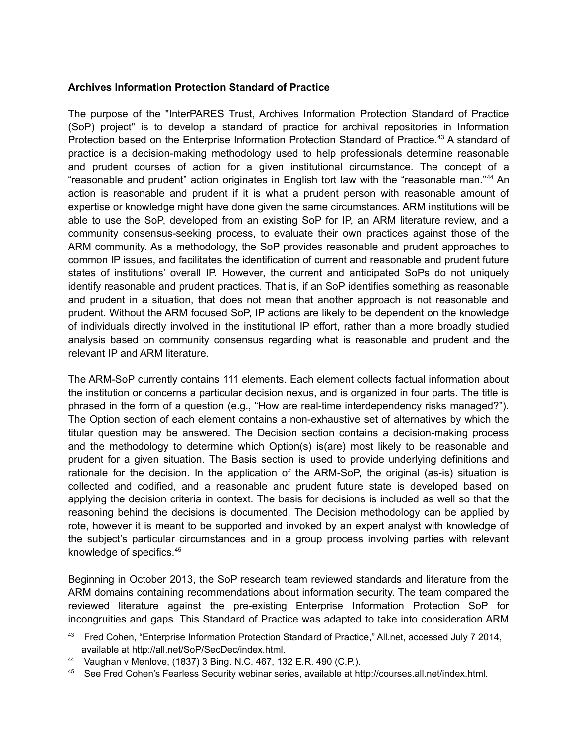#### **Archives Information Protection Standard of Practice**

The purpose of the "InterPARES Trust, Archives Information Protection Standard of Practice (SoP) project" is to develop a standard of practice for archival repositories in Information Protection based on the Enterprise Information Protection Standard of Practice.<sup>[43](#page-4-0)</sup> A standard of practice is a decision-making methodology used to help professionals determine reasonable and prudent courses of action for a given institutional circumstance. The concept of a "reasonable and prudent" action originates in English tort law with the "reasonable man."[44](#page-4-1) An action is reasonable and prudent if it is what a prudent person with reasonable amount of expertise or knowledge might have done given the same circumstances. ARM institutions will be able to use the SoP, developed from an existing SoP for IP, an ARM literature review, and a community consensus-seeking process, to evaluate their own practices against those of the ARM community. As a methodology, the SoP provides reasonable and prudent approaches to common IP issues, and facilitates the identification of current and reasonable and prudent future states of institutions' overall IP. However, the current and anticipated SoPs do not uniquely identify reasonable and prudent practices. That is, if an SoP identifies something as reasonable and prudent in a situation, that does not mean that another approach is not reasonable and prudent. Without the ARM focused SoP, IP actions are likely to be dependent on the knowledge of individuals directly involved in the institutional IP effort, rather than a more broadly studied analysis based on community consensus regarding what is reasonable and prudent and the relevant IP and ARM literature.

The ARM-SoP currently contains 111 elements. Each element collects factual information about the institution or concerns a particular decision nexus, and is organized in four parts. The title is phrased in the form of a question (e.g., "How are real-time interdependency risks managed?"). The Option section of each element contains a non-exhaustive set of alternatives by which the titular question may be answered. The Decision section contains a decision-making process and the methodology to determine which Option(s) is(are) most likely to be reasonable and prudent for a given situation. The Basis section is used to provide underlying definitions and rationale for the decision. In the application of the ARM-SoP, the original (as-is) situation is collected and codified, and a reasonable and prudent future state is developed based on applying the decision criteria in context. The basis for decisions is included as well so that the reasoning behind the decisions is documented. The Decision methodology can be applied by rote, however it is meant to be supported and invoked by an expert analyst with knowledge of the subject's particular circumstances and in a group process involving parties with relevant knowledge of specifics.[45](#page-4-2)

Beginning in October 2013, the SoP research team reviewed standards and literature from the ARM domains containing recommendations about information security. The team compared the reviewed literature against the pre-existing Enterprise Information Protection SoP for incongruities and gaps. This Standard of Practice was adapted to take into consideration ARM

<span id="page-4-0"></span><sup>43</sup> Fred Cohen, "Enterprise Information Protection Standard of Practice," All.net, accessed July 7 2014, available at http://all.net/SoP/SecDec/index.html.

<span id="page-4-1"></span><sup>44</sup> Vaughan v Menlove, (1837) 3 Bing. N.C. 467, 132 E.R. 490 (C.P.).

<span id="page-4-2"></span><sup>45</sup> See Fred Cohen's Fearless Security webinar series, available at http://courses.all.net/index.html.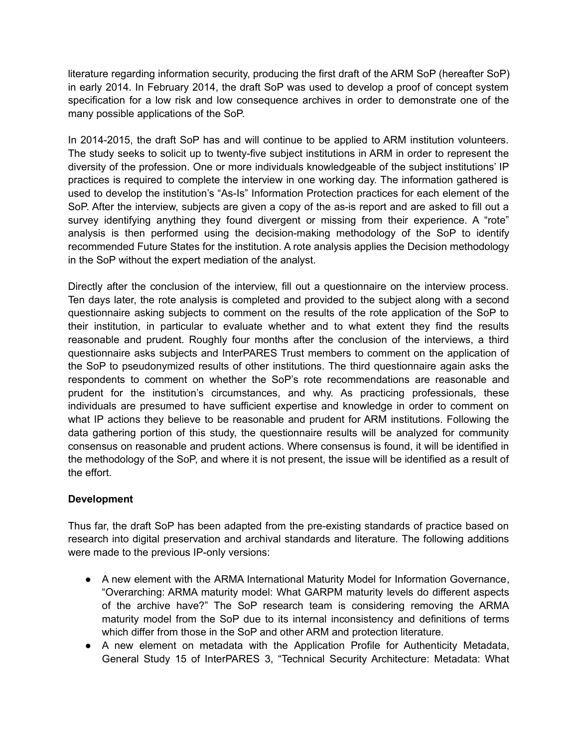literature regarding information security, producing the first draft of the ARM SoP (hereafter SoP) in early 2014. In February 2014, the draft SoP was used to develop a proof of concept system specification for a low risk and low consequence archives in order to demonstrate one of the many possible applications of the SoP.

In 2014-2015, the draft SoP has and will continue to be applied to ARM institution volunteers. The study seeks to solicit up to twenty-five subject institutions in ARM in order to represent the diversity of the profession. One or more individuals knowledgeable of the subject institutions' IP practices is required to complete the interview in one working day. The information gathered is used to develop the institution's "As-Is" Information Protection practices for each element of the SoP. After the interview, subjects are given a copy of the as-is report and are asked to fill out a survey identifying anything they found divergent or missing from their experience. A "rote" analysis is then performed using the decision-making methodology of the SoP to identify recommended Future States for the institution. A rote analysis applies the Decision methodology in the SoP without the expert mediation of the analyst.

Directly after the conclusion of the interview, fill out a questionnaire on the interview process. Ten days later, the rote analysis is completed and provided to the subject along with a second questionnaire asking subjects to comment on the results of the rote application of the SoP to their institution, in particular to evaluate whether and to what extent they find the results reasonable and prudent. Roughly four months after the conclusion of the interviews, a third questionnaire asks subjects and InterPARES Trust members to comment on the application of the SoP to pseudonymized results of other institutions. The third questionnaire again asks the respondents to comment on whether the SoP's rote recommendations are reasonable and prudent for the institution's circumstances, and why. As practicing professionals, these individuals are presumed to have sufficient expertise and knowledge in order to comment on what IP actions they believe to be reasonable and prudent for ARM institutions. Following the data gathering portion of this study, the questionnaire results will be analyzed for community consensus on reasonable and prudent actions. Where consensus is found, it will be identified in the methodology of the SoP, and where it is not present, the issue will be identified as a result of the effort.

#### **Development**

Thus far, the draft SoP has been adapted from the pre-existing standards of practice based on research into digital preservation and archival standards and literature. The following additions were made to the previous IP-only versions:

- A new element with the ARMA International Maturity Model for Information Governance, "Overarching: ARMA maturity model: What GARPM maturity levels do different aspects of the archive have?" The SoP research team is considering removing the ARMA maturity model from the SoP due to its internal inconsistency and definitions of terms which differ from those in the SoP and other ARM and protection literature.
- A new element on metadata with the Application Profile for Authenticity Metadata, General Study 15 of InterPARES 3, "Technical Security Architecture: Metadata: What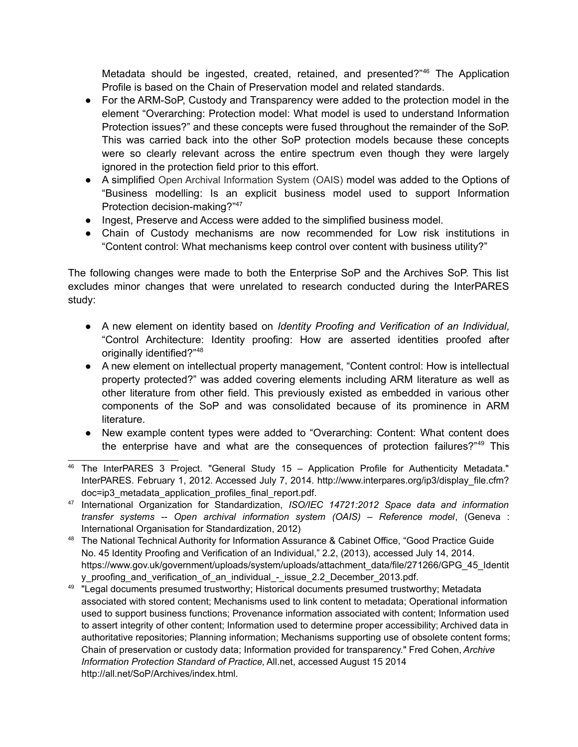Metadata should be ingested, created, retained, and presented?"<sup>[46](#page-6-0)</sup> The Application Profile is based on the Chain of Preservation model and related standards.

- For the ARM-SoP, Custody and Transparency were added to the protection model in the element "Overarching: Protection model: What model is used to understand Information Protection issues?" and these concepts were fused throughout the remainder of the SoP. This was carried back into the other SoP protection models because these concepts were so clearly relevant across the entire spectrum even though they were largely ignored in the protection field prior to this effort.
- A simplified Open Archival Information System (OAIS) model was added to the Options of "Business modelling: Is an explicit business model used to support Information Protection decision-making?"<sup>[47](#page-6-1)</sup>
- Ingest, Preserve and Access were added to the simplified business model.
- Chain of Custody mechanisms are now recommended for Low risk institutions in "Content control: What mechanisms keep control over content with business utility?"

The following changes were made to both the Enterprise SoP and the Archives SoP. This list excludes minor changes that were unrelated to research conducted during the InterPARES study:

- A new element on identity based on *Identity Proofing and Verification of an Individual,* "Control Architecture: Identity proofing: How are asserted identities proofed after originally identified?"[48](#page-6-2)
- A new element on intellectual property management, "Content control: How is intellectual property protected?" was added covering elements including ARM literature as well as other literature from other field. This previously existed as embedded in various other components of the SoP and was consolidated because of its prominence in ARM literature.
- New example content types were added to "Overarching: Content: What content does the enterprise have and what are the consequences of protection failures?"<sup>[49](#page-6-3)</sup> This

<span id="page-6-0"></span><sup>46</sup> The InterPARES 3 Project. "General Study 15 – Application Profile for Authenticity Metadata." InterPARES. February 1, 2012. Accessed July 7, 2014. http://www.interpares.org/ip3/display\_file.cfm? doc=ip3\_metadata\_application\_profiles\_final\_report.pdf.

<span id="page-6-1"></span><sup>47</sup> International Organization for Standardization, *ISO/IEC 14721:2012 Space data and information transfer systems -- Open archival information system (OAIS) – Reference model*, (Geneva : International Organisation for Standardization, 2012)

<span id="page-6-2"></span><sup>48</sup> The National Technical Authority for Information Assurance & Cabinet Office, "Good Practice Guide No. 45 Identity Proofing and Verification of an Individual," 2.2, (2013), accessed July 14, 2014. https://www.gov.uk/government/uploads/system/uploads/attachment\_data/file/271266/GPG\_45\_Identit y\_proofing\_and\_verification\_of\_an\_individual\_-\_issue\_2.2\_December\_2013.pdf.

<span id="page-6-3"></span><sup>&</sup>lt;sup>49</sup> "Legal documents presumed trustworthy; Historical documents presumed trustworthy; Metadata associated with stored content; Mechanisms used to link content to metadata; Operational information used to support business functions; Provenance information associated with content; Information used to assert integrity of other content; Information used to determine proper accessibility; Archived data in authoritative repositories; Planning information; Mechanisms supporting use of obsolete content forms; Chain of preservation or custody data; Information provided for transparency." Fred Cohen, *Archive Information Protection Standard of Practice*, All.net, accessed August 15 2014 http://all.net/SoP/Archives/index.html.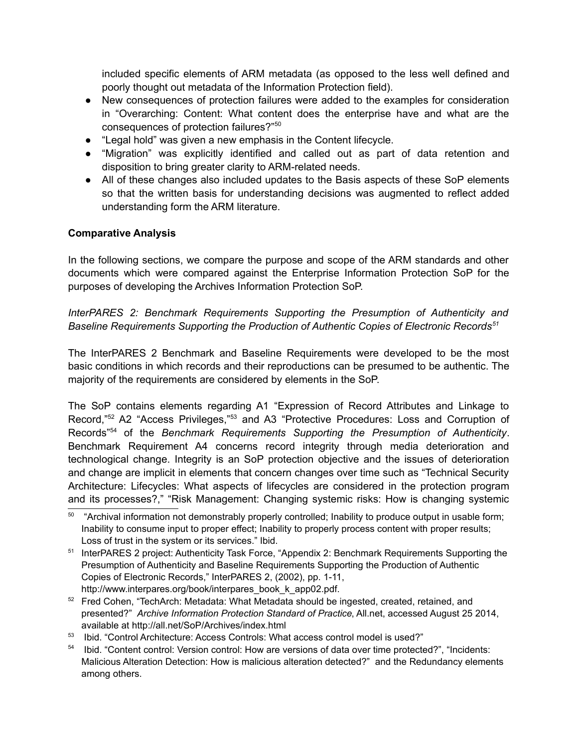included specific elements of ARM metadata (as opposed to the less well defined and poorly thought out metadata of the Information Protection field).

- New consequences of protection failures were added to the examples for consideration in "Overarching: Content: What content does the enterprise have and what are the consequences of protection failures?"[50](#page-7-0)
- "Legal hold" was given a new emphasis in the Content lifecycle.
- "Migration" was explicitly identified and called out as part of data retention and disposition to bring greater clarity to ARM-related needs.
- All of these changes also included updates to the Basis aspects of these SoP elements so that the written basis for understanding decisions was augmented to reflect added understanding form the ARM literature.

#### **Comparative Analysis**

In the following sections, we compare the purpose and scope of the ARM standards and other documents which were compared against the Enterprise Information Protection SoP for the purposes of developing the Archives Information Protection SoP.

*InterPARES 2: Benchmark Requirements Supporting the Presumption of Authenticity and Baseline Requirements Supporting the Production of Authentic Copies of Electronic Records[51](#page-7-1)*

The InterPARES 2 Benchmark and Baseline Requirements were developed to be the most basic conditions in which records and their reproductions can be presumed to be authentic. The majority of the requirements are considered by elements in the SoP.

The SoP contains elements regarding A1 "Expression of Record Attributes and Linkage to Record,"[52](#page-7-2) A2 "Access Privileges,"[53](#page-7-3) and A3 "Protective Procedures: Loss and Corruption of Records"[54](#page-7-4) of the *Benchmark Requirements Supporting the Presumption of Authenticity*. Benchmark Requirement A4 concerns record integrity through media deterioration and technological change. Integrity is an SoP protection objective and the issues of deterioration and change are implicit in elements that concern changes over time such as "Technical Security Architecture: Lifecycles: What aspects of lifecycles are considered in the protection program and its processes?," "Risk Management: Changing systemic risks: How is changing systemic

- <span id="page-7-2"></span><sup>52</sup> Fred Cohen, "TechArch: Metadata: What Metadata should be ingested, created, retained, and presented?" *Archive Information Protection Standard of Practice*, All.net, accessed August 25 2014, available at http://all.net/SoP/Archives/index.html
- <span id="page-7-3"></span><sup>53</sup> Ibid. "Control Architecture: Access Controls: What access control model is used?"
- <span id="page-7-4"></span><sup>54</sup> Ibid. "Content control: Version control: How are versions of data over time protected?", "Incidents: Malicious Alteration Detection: How is malicious alteration detected?" and the Redundancy elements among others.

<span id="page-7-0"></span><sup>&</sup>lt;sup>50</sup> "Archival information not demonstrably properly controlled; Inability to produce output in usable form; Inability to consume input to proper effect; Inability to properly process content with proper results; Loss of trust in the system or its services." Ibid.

<span id="page-7-1"></span><sup>51</sup> InterPARES 2 project: Authenticity Task Force, "Appendix 2: Benchmark Requirements Supporting the Presumption of Authenticity and Baseline Requirements Supporting the Production of Authentic Copies of Electronic Records," InterPARES 2, (2002), pp. 1-11, http://www.interpares.org/book/interpares\_book\_k\_app02.pdf.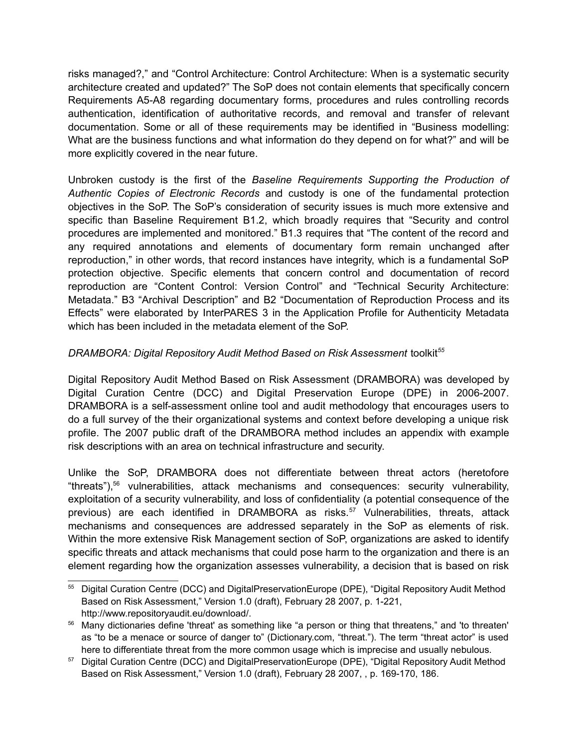risks managed?," and "Control Architecture: Control Architecture: When is a systematic security architecture created and updated?" The SoP does not contain elements that specifically concern Requirements A5-A8 regarding documentary forms, procedures and rules controlling records authentication, identification of authoritative records, and removal and transfer of relevant documentation. Some or all of these requirements may be identified in "Business modelling: What are the business functions and what information do they depend on for what?" and will be more explicitly covered in the near future.

Unbroken custody is the first of the *Baseline Requirements Supporting the Production of Authentic Copies of Electronic Records* and custody is one of the fundamental protection objectives in the SoP. The SoP's consideration of security issues is much more extensive and specific than Baseline Requirement B1.2, which broadly requires that "Security and control procedures are implemented and monitored." B1.3 requires that "The content of the record and any required annotations and elements of documentary form remain unchanged after reproduction," in other words, that record instances have integrity, which is a fundamental SoP protection objective. Specific elements that concern control and documentation of record reproduction are "Content Control: Version Control" and "Technical Security Architecture: Metadata." B3 "Archival Description" and B2 "Documentation of Reproduction Process and its Effects" were elaborated by InterPARES 3 in the Application Profile for Authenticity Metadata which has been included in the metadata element of the SoP.

# *DRAMBORA: Digital Repository Audit Method Based on Risk Assessment toolkit<sup>[55](#page-8-0)</sup>*

Digital Repository Audit Method Based on Risk Assessment (DRAMBORA) was developed by Digital Curation Centre (DCC) and Digital Preservation Europe (DPE) in 2006-2007. DRAMBORA is a self-assessment online tool and audit methodology that encourages users to do a full survey of the their organizational systems and context before developing a unique risk profile. The 2007 public draft of the DRAMBORA method includes an appendix with example risk descriptions with an area on technical infrastructure and security.

Unlike the SoP, DRAMBORA does not differentiate between threat actors (heretofore "threats"),[56](#page-8-1) vulnerabilities, attack mechanisms and consequences: security vulnerability, exploitation of a security vulnerability, and loss of confidentiality (a potential consequence of the previous) are each identified in DRAMBORA as risks.<sup>[57](#page-8-2)</sup> Vulnerabilities, threats, attack mechanisms and consequences are addressed separately in the SoP as elements of risk. Within the more extensive Risk Management section of SoP, organizations are asked to identify specific threats and attack mechanisms that could pose harm to the organization and there is an element regarding how the organization assesses vulnerability, a decision that is based on risk

<span id="page-8-0"></span><sup>55</sup> Digital Curation Centre (DCC) and DigitalPreservationEurope (DPE), "Digital Repository Audit Method Based on Risk Assessment," Version 1.0 (draft), February 28 2007, p. 1-221, http://www.repositoryaudit.eu/download/.

<span id="page-8-1"></span><sup>56</sup> Many dictionaries define 'threat' as something like "a person or thing that threatens," and 'to threaten' as "to be a menace or source of danger to" (Dictionary.com, "threat."). The term "threat actor" is used here to differentiate threat from the more common usage which is imprecise and usually nebulous.

<span id="page-8-2"></span><sup>&</sup>lt;sup>57</sup> Digital Curation Centre (DCC) and DigitalPreservationEurope (DPE), "Digital Repository Audit Method Based on Risk Assessment," Version 1.0 (draft), February 28 2007, , p. 169-170, 186.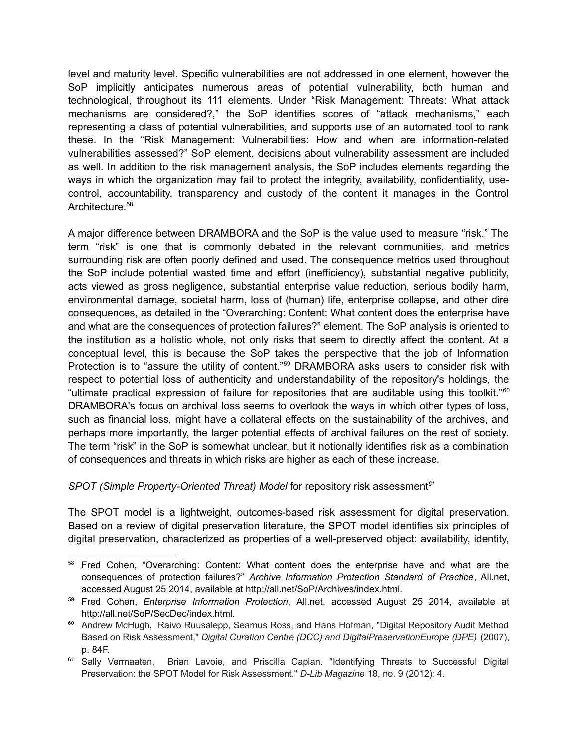level and maturity level. Specific vulnerabilities are not addressed in one element, however the SoP implicitly anticipates numerous areas of potential vulnerability, both human and technological, throughout its 111 elements. Under "Risk Management: Threats: What attack mechanisms are considered?," the SoP identifies scores of "attack mechanisms," each representing a class of potential vulnerabilities, and supports use of an automated tool to rank these. In the "Risk Management: Vulnerabilities: How and when are information-related vulnerabilities assessed?" SoP element, decisions about vulnerability assessment are included as well. In addition to the risk management analysis, the SoP includes elements regarding the ways in which the organization may fail to protect the integrity, availability, confidentiality, usecontrol, accountability, transparency and custody of the content it manages in the Control Architecture.<sup>[58](#page-9-0)</sup>

A major difference between DRAMBORA and the SoP is the value used to measure "risk." The term "risk" is one that is commonly debated in the relevant communities, and metrics surrounding risk are often poorly defined and used. The consequence metrics used throughout the SoP include potential wasted time and effort (inefficiency), substantial negative publicity, acts viewed as gross negligence, substantial enterprise value reduction, serious bodily harm, environmental damage, societal harm, loss of (human) life, enterprise collapse, and other dire consequences, as detailed in the "Overarching: Content: What content does the enterprise have and what are the consequences of protection failures?" element. The SoP analysis is oriented to the institution as a holistic whole, not only risks that seem to directly affect the content. At a conceptual level, this is because the SoP takes the perspective that the job of Information Protection is to "assure the utility of content."<sup>[59](#page-9-1)</sup> DRAMBORA asks users to consider risk with respect to potential loss of authenticity and understandability of the repository's holdings, the "ultimate practical expression of failure for repositories that are auditable using this toolkit." [60](#page-9-2) DRAMBORA's focus on archival loss seems to overlook the ways in which other types of loss, such as financial loss, might have a collateral effects on the sustainability of the archives, and perhaps more importantly, the larger potential effects of archival failures on the rest of society. The term "risk" in the SoP is somewhat unclear, but it notionally identifies risk as a combination of consequences and threats in which risks are higher as each of these increase.

# *SPOT (Simple Property-Oriented Threat) Model* for repository risk assessment*[61](#page-9-3)*

The SPOT model is a lightweight, outcomes-based risk assessment for digital preservation. Based on a review of digital preservation literature, the SPOT model identifies six principles of digital preservation, characterized as properties of a well-preserved object: availability, identity,

<span id="page-9-0"></span><sup>58</sup> Fred Cohen, "Overarching: Content: What content does the enterprise have and what are the consequences of protection failures?" *Archive Information Protection Standard of Practice*, All.net, accessed August 25 2014, available at http://all.net/SoP/Archives/index.html.

<span id="page-9-1"></span><sup>59</sup> Fred Cohen, *Enterprise Information Protection*, All.net, accessed August 25 2014, available at http://all.net/SoP/SecDec/index.html.

<span id="page-9-2"></span><sup>&</sup>lt;sup>60</sup> Andrew McHugh, Raivo Ruusalepp, Seamus Ross, and Hans Hofman, "Digital Repository Audit Method Based on Risk Assessment," *Digital Curation Centre (DCC) and DigitalPreservationEurope (DPE)* (2007), p. 84F.

<span id="page-9-3"></span><sup>&</sup>lt;sup>61</sup> Sally Vermaaten, Brian Lavoie, and Priscilla Caplan. "Identifying Threats to Successful Digital Preservation: the SPOT Model for Risk Assessment." *D-Lib Magazine* 18, no. 9 (2012): 4.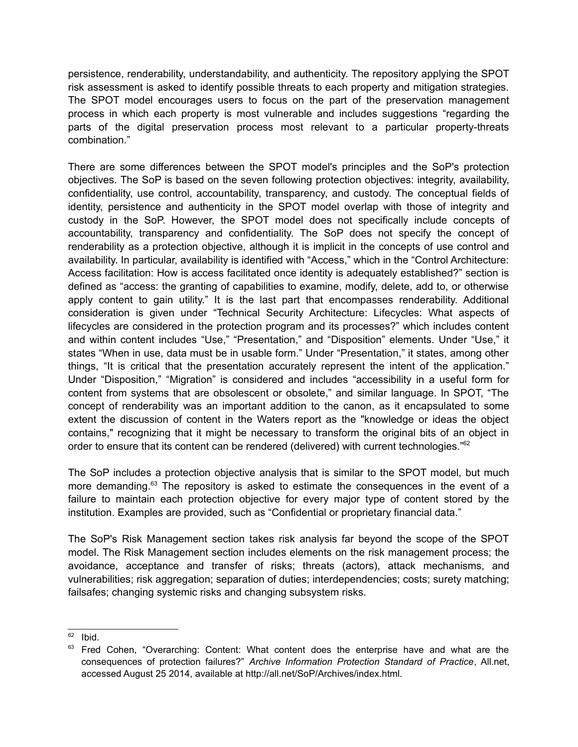persistence, renderability, understandability, and authenticity. The repository applying the SPOT risk assessment is asked to identify possible threats to each property and mitigation strategies. The SPOT model encourages users to focus on the part of the preservation management process in which each property is most vulnerable and includes suggestions "regarding the parts of the digital preservation process most relevant to a particular property-threats combination."

There are some differences between the SPOT model's principles and the SoP's protection objectives. The SoP is based on the seven following protection objectives: integrity, availability, confidentiality, use control, accountability, transparency, and custody. The conceptual fields of identity, persistence and authenticity in the SPOT model overlap with those of integrity and custody in the SoP. However, the SPOT model does not specifically include concepts of accountability, transparency and confidentiality. The SoP does not specify the concept of renderability as a protection objective, although it is implicit in the concepts of use control and availability. In particular, availability is identified with "Access," which in the "Control Architecture: Access facilitation: How is access facilitated once identity is adequately established?" section is defined as "access: the granting of capabilities to examine, modify, delete, add to, or otherwise apply content to gain utility." It is the last part that encompasses renderability. Additional consideration is given under "Technical Security Architecture: Lifecycles: What aspects of lifecycles are considered in the protection program and its processes?" which includes content and within content includes "Use," "Presentation," and "Disposition" elements. Under "Use," it states "When in use, data must be in usable form." Under "Presentation," it states, among other things, "It is critical that the presentation accurately represent the intent of the application." Under "Disposition," "Migration" is considered and includes "accessibility in a useful form for content from systems that are obsolescent or obsolete," and similar language. In SPOT, "The concept of renderability was an important addition to the canon, as it encapsulated to some extent the discussion of content in the Waters report as the "knowledge or ideas the object contains," recognizing that it might be necessary to transform the original bits of an object in order to ensure that its content can be rendered (delivered) with current technologies."[62](#page-10-0)

The SoP includes a protection objective analysis that is similar to the SPOT model, but much more demanding.<sup>[63](#page-10-1)</sup> The repository is asked to estimate the consequences in the event of a failure to maintain each protection objective for every major type of content stored by the institution. Examples are provided, such as "Confidential or proprietary financial data."

The SoP's Risk Management section takes risk analysis far beyond the scope of the SPOT model. The Risk Management section includes elements on the risk management process; the avoidance, acceptance and transfer of risks; threats (actors), attack mechanisms, and vulnerabilities; risk aggregation; separation of duties; interdependencies; costs; surety matching; failsafes; changing systemic risks and changing subsystem risks.

<span id="page-10-0"></span> $62$  Ibid.

<span id="page-10-1"></span> $63$  Fred Cohen, "Overarching: Content: What content does the enterprise have and what are the consequences of protection failures?" *Archive Information Protection Standard of Practice*, All.net, accessed August 25 2014, available at http://all.net/SoP/Archives/index.html.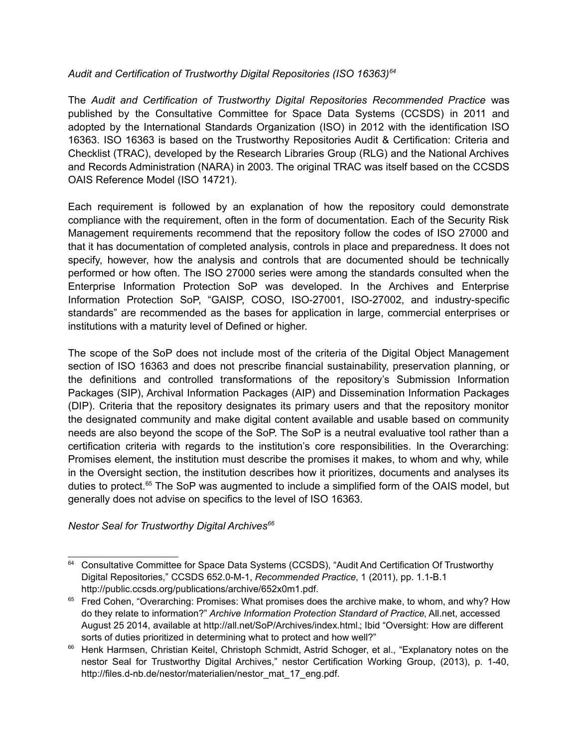# *Audit and Certification of Trustworthy Digital Repositories (ISO 16363)[64](#page-11-0)*

The *Audit and Certification of Trustworthy Digital Repositories Recommended Practice* was published by the Consultative Committee for Space Data Systems (CCSDS) in 2011 and adopted by the International Standards Organization (ISO) in 2012 with the identification ISO 16363. ISO 16363 is based on the Trustworthy Repositories Audit & Certification: Criteria and Checklist (TRAC), developed by the Research Libraries Group (RLG) and the National Archives and Records Administration (NARA) in 2003. The original TRAC was itself based on the CCSDS OAIS Reference Model (ISO 14721).

Each requirement is followed by an explanation of how the repository could demonstrate compliance with the requirement, often in the form of documentation. Each of the Security Risk Management requirements recommend that the repository follow the codes of ISO 27000 and that it has documentation of completed analysis, controls in place and preparedness. It does not specify, however, how the analysis and controls that are documented should be technically performed or how often. The ISO 27000 series were among the standards consulted when the Enterprise Information Protection SoP was developed. In the Archives and Enterprise Information Protection SoP, "GAISP, COSO, ISO-27001, ISO-27002, and industry-specific standards" are recommended as the bases for application in large, commercial enterprises or institutions with a maturity level of Defined or higher.

The scope of the SoP does not include most of the criteria of the Digital Object Management section of ISO 16363 and does not prescribe financial sustainability, preservation planning, or the definitions and controlled transformations of the repository's Submission Information Packages (SIP), Archival Information Packages (AIP) and Dissemination Information Packages (DIP). Criteria that the repository designates its primary users and that the repository monitor the designated community and make digital content available and usable based on community needs are also beyond the scope of the SoP. The SoP is a neutral evaluative tool rather than a certification criteria with regards to the institution's core responsibilities. In the Overarching: Promises element, the institution must describe the promises it makes, to whom and why, while in the Oversight section, the institution describes how it prioritizes, documents and analyses its duties to protect.<sup>[65](#page-11-1)</sup> The SoP was augmented to include a simplified form of the OAIS model, but generally does not advise on specifics to the level of ISO 16363.

*Nestor Seal for Trustworthy Digital Archives[66](#page-11-2)*

<span id="page-11-0"></span><sup>&</sup>lt;sup>64</sup> Consultative Committee for Space Data Systems (CCSDS), "Audit And Certification Of Trustworthy Digital Repositories," CCSDS 652.0-M-1, *Recommended Practice*, 1 (2011), pp. 1.1-B.1 http://public.ccsds.org/publications/archive/652x0m1.pdf.

<span id="page-11-1"></span><sup>&</sup>lt;sup>65</sup> Fred Cohen, "Overarching: Promises: What promises does the archive make, to whom, and why? How do they relate to information?" *Archive Information Protection Standard of Practice*, All.net, accessed August 25 2014, available at http://all.net/SoP/Archives/index.html.; Ibid "Oversight: How are different sorts of duties prioritized in determining what to protect and how well?"

<span id="page-11-2"></span><sup>&</sup>lt;sup>66</sup> Henk Harmsen, Christian Keitel, Christoph Schmidt, Astrid Schoger, et al., "Explanatory notes on the nestor Seal for Trustworthy Digital Archives," nestor Certification Working Group, (2013), p. 1-40, http://files.d-nb.de/nestor/materialien/nestor\_mat\_17\_eng.pdf.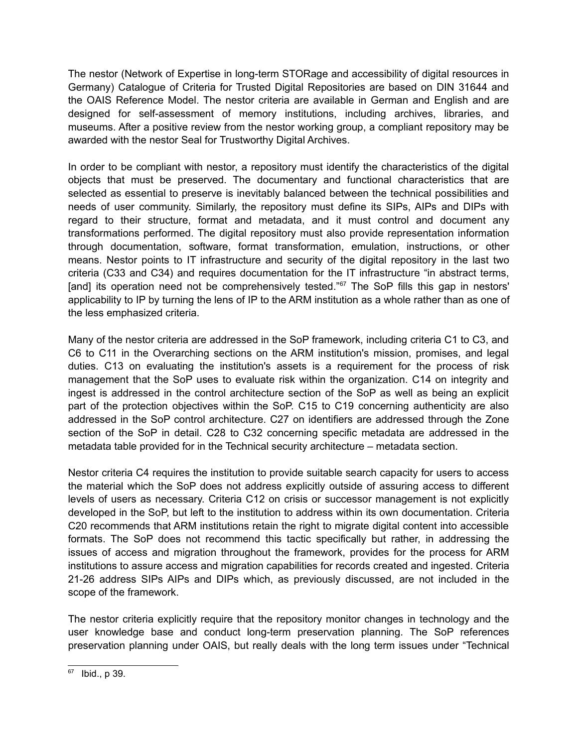The nestor (Network of Expertise in long-term STORage and accessibility of digital resources in Germany) Catalogue of Criteria for Trusted Digital Repositories are based on DIN 31644 and the OAIS Reference Model. The nestor criteria are available in German and English and are designed for self-assessment of memory institutions, including archives, libraries, and museums. After a positive review from the nestor working group, a compliant repository may be awarded with the nestor Seal for Trustworthy Digital Archives.

In order to be compliant with nestor, a repository must identify the characteristics of the digital objects that must be preserved. The documentary and functional characteristics that are selected as essential to preserve is inevitably balanced between the technical possibilities and needs of user community. Similarly, the repository must define its SIPs, AIPs and DIPs with regard to their structure, format and metadata, and it must control and document any transformations performed. The digital repository must also provide representation information through documentation, software, format transformation, emulation, instructions, or other means. Nestor points to IT infrastructure and security of the digital repository in the last two criteria (C33 and C34) and requires documentation for the IT infrastructure "in abstract terms, [and] its operation need not be comprehensively tested."<sup>[67](#page-12-0)</sup> The SoP fills this gap in nestors' applicability to IP by turning the lens of IP to the ARM institution as a whole rather than as one of the less emphasized criteria.

Many of the nestor criteria are addressed in the SoP framework, including criteria C1 to C3, and C6 to C11 in the Overarching sections on the ARM institution's mission, promises, and legal duties. C13 on evaluating the institution's assets is a requirement for the process of risk management that the SoP uses to evaluate risk within the organization. C14 on integrity and ingest is addressed in the control architecture section of the SoP as well as being an explicit part of the protection objectives within the SoP. C15 to C19 concerning authenticity are also addressed in the SoP control architecture. C27 on identifiers are addressed through the Zone section of the SoP in detail. C28 to C32 concerning specific metadata are addressed in the metadata table provided for in the Technical security architecture – metadata section.

Nestor criteria C4 requires the institution to provide suitable search capacity for users to access the material which the SoP does not address explicitly outside of assuring access to different levels of users as necessary. Criteria C12 on crisis or successor management is not explicitly developed in the SoP, but left to the institution to address within its own documentation. Criteria C20 recommends that ARM institutions retain the right to migrate digital content into accessible formats. The SoP does not recommend this tactic specifically but rather, in addressing the issues of access and migration throughout the framework, provides for the process for ARM institutions to assure access and migration capabilities for records created and ingested. Criteria 21-26 address SIPs AIPs and DIPs which, as previously discussed, are not included in the scope of the framework.

The nestor criteria explicitly require that the repository monitor changes in technology and the user knowledge base and conduct long-term preservation planning. The SoP references preservation planning under OAIS, but really deals with the long term issues under "Technical

<span id="page-12-0"></span><sup>67</sup> Ibid., p 39.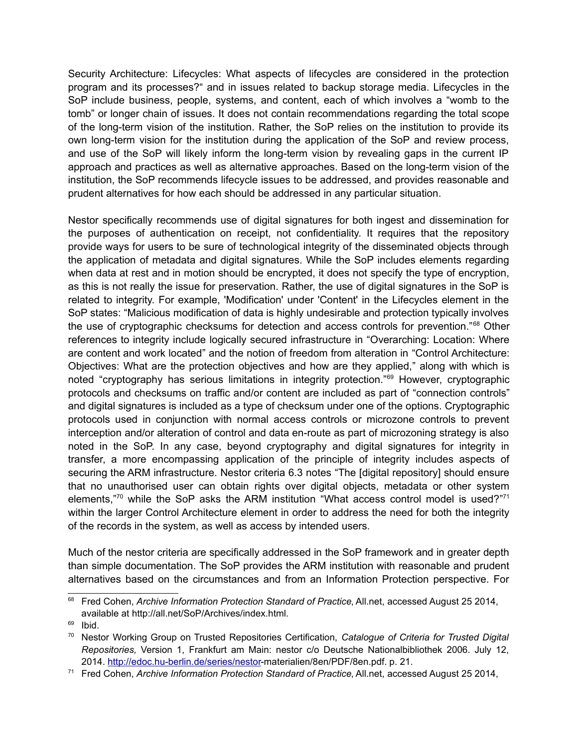Security Architecture: Lifecycles: What aspects of lifecycles are considered in the protection program and its processes?" and in issues related to backup storage media. Lifecycles in the SoP include business, people, systems, and content, each of which involves a "womb to the tomb" or longer chain of issues. It does not contain recommendations regarding the total scope of the long-term vision of the institution. Rather, the SoP relies on the institution to provide its own long-term vision for the institution during the application of the SoP and review process, and use of the SoP will likely inform the long-term vision by revealing gaps in the current IP approach and practices as well as alternative approaches. Based on the long-term vision of the institution, the SoP recommends lifecycle issues to be addressed, and provides reasonable and prudent alternatives for how each should be addressed in any particular situation.

Nestor specifically recommends use of digital signatures for both ingest and dissemination for the purposes of authentication on receipt, not confidentiality. It requires that the repository provide ways for users to be sure of technological integrity of the disseminated objects through the application of metadata and digital signatures. While the SoP includes elements regarding when data at rest and in motion should be encrypted, it does not specify the type of encryption, as this is not really the issue for preservation. Rather, the use of digital signatures in the SoP is related to integrity. For example, 'Modification' under 'Content' in the Lifecycles element in the SoP states: "Malicious modification of data is highly undesirable and protection typically involves the use of cryptographic checksums for detection and access controls for prevention."[68](#page-13-0) Other references to integrity include logically secured infrastructure in "Overarching: Location: Where are content and work located" and the notion of freedom from alteration in "Control Architecture: Objectives: What are the protection objectives and how are they applied," along with which is noted "cryptography has serious limitations in integrity protection."<sup>[69](#page-13-1)</sup> However, cryptographic protocols and checksums on traffic and/or content are included as part of "connection controls" and digital signatures is included as a type of checksum under one of the options. Cryptographic protocols used in conjunction with normal access controls or microzone controls to prevent interception and/or alteration of control and data en-route as part of microzoning strategy is also noted in the SoP. In any case, beyond cryptography and digital signatures for integrity in transfer, a more encompassing application of the principle of integrity includes aspects of securing the ARM infrastructure. Nestor criteria 6.3 notes "The [digital repository] should ensure that no unauthorised user can obtain rights over digital objects, metadata or other system elements,"<sup>[70](#page-13-2)</sup> while the SoP asks the ARM institution "What access control model is used?"<sup>[71](#page-13-3)</sup> within the larger Control Architecture element in order to address the need for both the integrity of the records in the system, as well as access by intended users.

Much of the nestor criteria are specifically addressed in the SoP framework and in greater depth than simple documentation. The SoP provides the ARM institution with reasonable and prudent alternatives based on the circumstances and from an Information Protection perspective. For

<span id="page-13-0"></span><sup>68</sup> Fred Cohen, *Archive Information Protection Standard of Practice*, All.net, accessed August 25 2014, available at http://all.net/SoP/Archives/index.html.

<span id="page-13-1"></span> $69$  Ibid.

<span id="page-13-2"></span><sup>70</sup> Nestor Working Group on Trusted Repositories Certification, *Catalogue of Criteria for Trusted Digital Repositories,* Version 1, Frankfurt am Main: nestor c/o Deutsche Nationalbibliothek 2006. July 12, 2014.<http://edoc.hu-berlin.de/series/nestor->materialien/8en/PDF/8en.pdf. p. 21.

<span id="page-13-3"></span><sup>71</sup> Fred Cohen, *Archive Information Protection Standard of Practice*, All.net, accessed August 25 2014,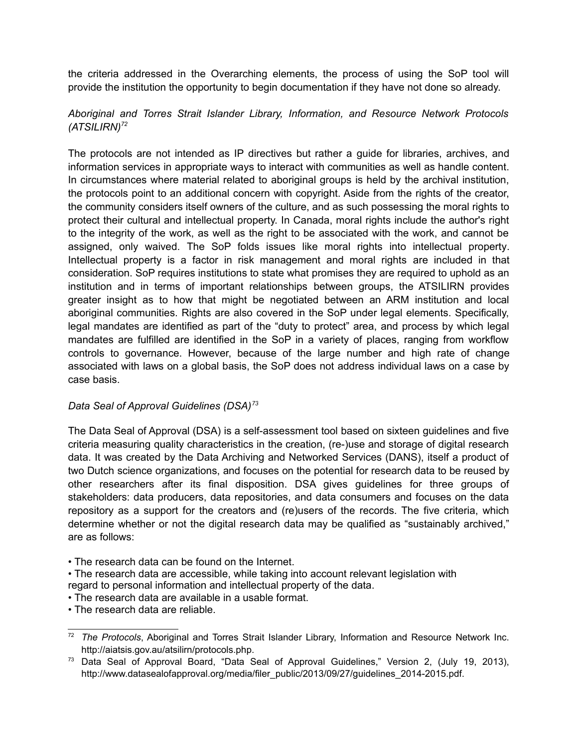the criteria addressed in the Overarching elements, the process of using the SoP tool will provide the institution the opportunity to begin documentation if they have not done so already.

# *Aboriginal and Torres Strait Islander Library, Information, and Resource Network Protocols (ATSILIRN)[72](#page-14-0)*

The protocols are not intended as IP directives but rather a guide for libraries, archives, and information services in appropriate ways to interact with communities as well as handle content. In circumstances where material related to aboriginal groups is held by the archival institution, the protocols point to an additional concern with copyright. Aside from the rights of the creator, the community considers itself owners of the culture, and as such possessing the moral rights to protect their cultural and intellectual property. In Canada, moral rights include the author's right to the integrity of the work, as well as the right to be associated with the work, and cannot be assigned, only waived. The SoP folds issues like moral rights into intellectual property. Intellectual property is a factor in risk management and moral rights are included in that consideration. SoP requires institutions to state what promises they are required to uphold as an institution and in terms of important relationships between groups, the ATSILIRN provides greater insight as to how that might be negotiated between an ARM institution and local aboriginal communities. Rights are also covered in the SoP under legal elements. Specifically, legal mandates are identified as part of the "duty to protect" area, and process by which legal mandates are fulfilled are identified in the SoP in a variety of places, ranging from workflow controls to governance. However, because of the large number and high rate of change associated with laws on a global basis, the SoP does not address individual laws on a case by case basis.

# *Data Seal of Approval Guidelines (DSA)[73](#page-14-1)*

The Data Seal of Approval (DSA) is a self-assessment tool based on sixteen guidelines and five criteria measuring quality characteristics in the creation, (re-)use and storage of digital research data. It was created by the Data Archiving and Networked Services (DANS), itself a product of two Dutch science organizations, and focuses on the potential for research data to be reused by other researchers after its final disposition. DSA gives guidelines for three groups of stakeholders: data producers, data repositories, and data consumers and focuses on the data repository as a support for the creators and (re)users of the records. The five criteria, which determine whether or not the digital research data may be qualified as "sustainably archived," are as follows:

- The research data can be found on the Internet.
- The research data are accessible, while taking into account relevant legislation with regard to personal information and intellectual property of the data.
- The research data are available in a usable format.
- The research data are reliable.

<span id="page-14-0"></span><sup>72</sup> *The Protocols*, Aboriginal and Torres Strait Islander Library, Information and Resource Network Inc. http://aiatsis.gov.au/atsilirn/protocols.php.

<span id="page-14-1"></span><sup>&</sup>lt;sup>73</sup> Data Seal of Approval Board, "Data Seal of Approval Guidelines," Version 2, (July 19, 2013), http://www.datasealofapproval.org/media/filer\_public/2013/09/27/guidelines\_2014-2015.pdf.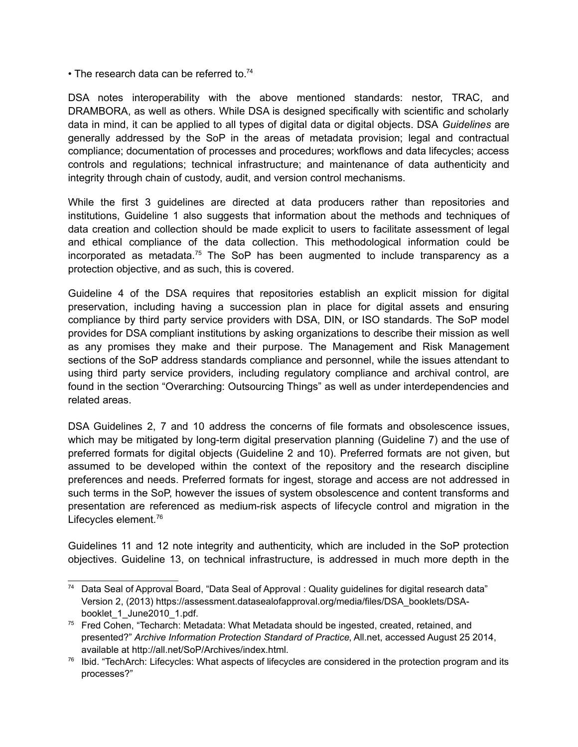• The research data can be referred to.<sup>[74](#page-15-0)</sup>

DSA notes interoperability with the above mentioned standards: nestor, TRAC, and DRAMBORA, as well as others. While DSA is designed specifically with scientific and scholarly data in mind, it can be applied to all types of digital data or digital objects. DSA *Guidelines* are generally addressed by the SoP in the areas of metadata provision; legal and contractual compliance; documentation of processes and procedures; workflows and data lifecycles; access controls and regulations; technical infrastructure; and maintenance of data authenticity and integrity through chain of custody, audit, and version control mechanisms.

While the first 3 guidelines are directed at data producers rather than repositories and institutions, Guideline 1 also suggests that information about the methods and techniques of data creation and collection should be made explicit to users to facilitate assessment of legal and ethical compliance of the data collection. This methodological information could be incorporated as metadata.<sup>[75](#page-15-1)</sup> The SoP has been augmented to include transparency as a protection objective, and as such, this is covered.

Guideline 4 of the DSA requires that repositories establish an explicit mission for digital preservation, including having a succession plan in place for digital assets and ensuring compliance by third party service providers with DSA, DIN, or ISO standards. The SoP model provides for DSA compliant institutions by asking organizations to describe their mission as well as any promises they make and their purpose. The Management and Risk Management sections of the SoP address standards compliance and personnel, while the issues attendant to using third party service providers, including regulatory compliance and archival control, are found in the section "Overarching: Outsourcing Things" as well as under interdependencies and related areas.

DSA Guidelines 2, 7 and 10 address the concerns of file formats and obsolescence issues, which may be mitigated by long-term digital preservation planning (Guideline 7) and the use of preferred formats for digital objects (Guideline 2 and 10). Preferred formats are not given, but assumed to be developed within the context of the repository and the research discipline preferences and needs. Preferred formats for ingest, storage and access are not addressed in such terms in the SoP, however the issues of system obsolescence and content transforms and presentation are referenced as medium-risk aspects of lifecycle control and migration in the Lifecycles element.<sup>[76](#page-15-2)</sup>

Guidelines 11 and 12 note integrity and authenticity, which are included in the SoP protection objectives. Guideline 13, on technical infrastructure, is addressed in much more depth in the

<span id="page-15-0"></span><sup>74</sup> Data Seal of Approval Board, "Data Seal of Approval : Quality guidelines for digital research data" Version 2, (2013) https://assessment.datasealofapproval.org/media/files/DSA\_booklets/DSAbooklet\_1\_June2010\_1.pdf.

<span id="page-15-1"></span><sup>&</sup>lt;sup>75</sup> Fred Cohen, "Techarch: Metadata: What Metadata should be ingested, created, retained, and presented?" *Archive Information Protection Standard of Practice*, All.net, accessed August 25 2014, available at http://all.net/SoP/Archives/index.html.

<span id="page-15-2"></span><sup>&</sup>lt;sup>76</sup> Ibid. "TechArch: Lifecycles: What aspects of lifecycles are considered in the protection program and its processes?"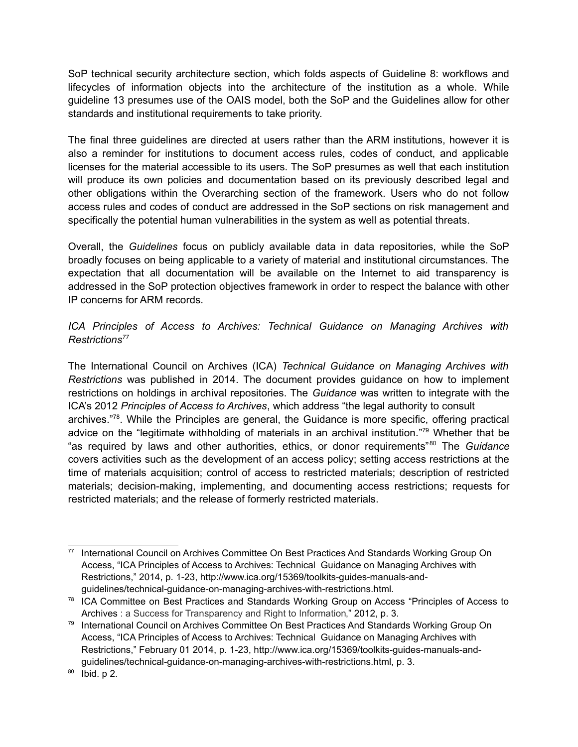SoP technical security architecture section, which folds aspects of Guideline 8: workflows and lifecycles of information objects into the architecture of the institution as a whole. While guideline 13 presumes use of the OAIS model, both the SoP and the Guidelines allow for other standards and institutional requirements to take priority.

The final three guidelines are directed at users rather than the ARM institutions, however it is also a reminder for institutions to document access rules, codes of conduct, and applicable licenses for the material accessible to its users. The SoP presumes as well that each institution will produce its own policies and documentation based on its previously described legal and other obligations within the Overarching section of the framework. Users who do not follow access rules and codes of conduct are addressed in the SoP sections on risk management and specifically the potential human vulnerabilities in the system as well as potential threats.

Overall, the *Guidelines* focus on publicly available data in data repositories, while the SoP broadly focuses on being applicable to a variety of material and institutional circumstances. The expectation that all documentation will be available on the Internet to aid transparency is addressed in the SoP protection objectives framework in order to respect the balance with other IP concerns for ARM records.

# *ICA Principles of Access to Archives: Technical Guidance on Managing Archives with Restrictions[77](#page-16-0)*

The International Council on Archives (ICA) *Technical Guidance on Managing Archives with Restrictions* was published in 2014. The document provides guidance on how to implement restrictions on holdings in archival repositories. The *Guidance* was written to integrate with the ICA's 2012 *Principles of Access to Archives*, which address "the legal authority to consult archives."<sup>[78](#page-16-1)</sup>. While the Principles are general, the Guidance is more specific, offering practical advice on the "legitimate withholding of materials in an archival institution."<sup>[79](#page-16-2)</sup> Whether that be "as required by laws and other authorities, ethics, or donor requirements"[80](#page-16-3) The *Guidance* covers activities such as the development of an access policy; setting access restrictions at the time of materials acquisition; control of access to restricted materials; description of restricted materials; decision-making, implementing, and documenting access restrictions; requests for restricted materials; and the release of formerly restricted materials.

<span id="page-16-0"></span><sup>77</sup> International Council on Archives Committee On Best Practices And Standards Working Group On Access, "ICA Principles of Access to Archives: Technical Guidance on Managing Archives with Restrictions," 2014, p. 1-23, http://www.ica.org/15369/toolkits-guides-manuals-andguidelines/technical-guidance-on-managing-archives-with-restrictions.html.

<span id="page-16-1"></span><sup>&</sup>lt;sup>78</sup> ICA Committee on Best Practices and Standards Working Group on Access "Principles of Access to Archives : a Success for Transparency and Right to Information," 2012, p. 3.

<span id="page-16-2"></span><sup>&</sup>lt;sup>79</sup> International Council on Archives Committee On Best Practices And Standards Working Group On Access, "ICA Principles of Access to Archives: Technical Guidance on Managing Archives with Restrictions," February 01 2014, p. 1-23, http://www.ica.org/15369/toolkits-guides-manuals-andguidelines/technical-guidance-on-managing-archives-with-restrictions.html, p. 3.

<span id="page-16-3"></span> $80$  Ibid. p 2.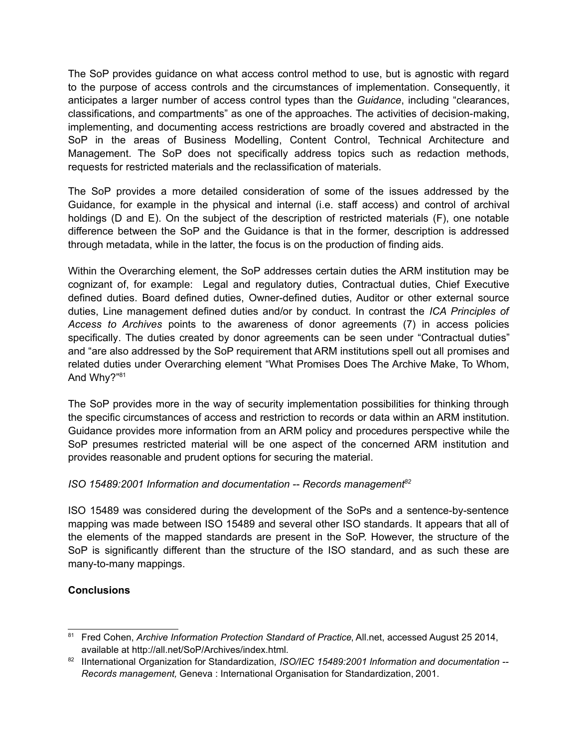The SoP provides guidance on what access control method to use, but is agnostic with regard to the purpose of access controls and the circumstances of implementation. Consequently, it anticipates a larger number of access control types than the *Guidance*, including "clearances, classifications, and compartments" as one of the approaches. The activities of decision-making, implementing, and documenting access restrictions are broadly covered and abstracted in the SoP in the areas of Business Modelling, Content Control, Technical Architecture and Management. The SoP does not specifically address topics such as redaction methods, requests for restricted materials and the reclassification of materials.

The SoP provides a more detailed consideration of some of the issues addressed by the Guidance, for example in the physical and internal (i.e. staff access) and control of archival holdings (D and E). On the subject of the description of restricted materials (F), one notable difference between the SoP and the Guidance is that in the former, description is addressed through metadata, while in the latter, the focus is on the production of finding aids.

Within the Overarching element, the SoP addresses certain duties the ARM institution may be cognizant of, for example: Legal and regulatory duties, Contractual duties, Chief Executive defined duties. Board defined duties, Owner-defined duties, Auditor or other external source duties, Line management defined duties and/or by conduct. In contrast the *ICA Principles of Access to Archives* points to the awareness of donor agreements (7) in access policies specifically. The duties created by donor agreements can be seen under "Contractual duties" and "are also addressed by the SoP requirement that ARM institutions spell out all promises and related duties under Overarching element "What Promises Does The Archive Make, To Whom, And Why?"<sup>[81](#page-17-0)</sup>

The SoP provides more in the way of security implementation possibilities for thinking through the specific circumstances of access and restriction to records or data within an ARM institution. Guidance provides more information from an ARM policy and procedures perspective while the SoP presumes restricted material will be one aspect of the concerned ARM institution and provides reasonable and prudent options for securing the material.

# *ISO 15489:2001 Information and documentation -- Records management[82](#page-17-1)*

ISO 15489 was considered during the development of the SoPs and a sentence-by-sentence mapping was made between ISO 15489 and several other ISO standards. It appears that all of the elements of the mapped standards are present in the SoP. However, the structure of the SoP is significantly different than the structure of the ISO standard, and as such these are many-to-many mappings.

# **Conclusions**

<span id="page-17-0"></span><sup>81</sup> Fred Cohen, Archive Information Protection Standard of Practice, All.net, accessed August 25 2014, available at http://all.net/SoP/Archives/index.html.

<span id="page-17-1"></span><sup>82</sup> IInternational Organization for Standardization, *ISO/IEC 15489:2001 Information and documentation* --*Records management,* Geneva : International Organisation for Standardization, 2001.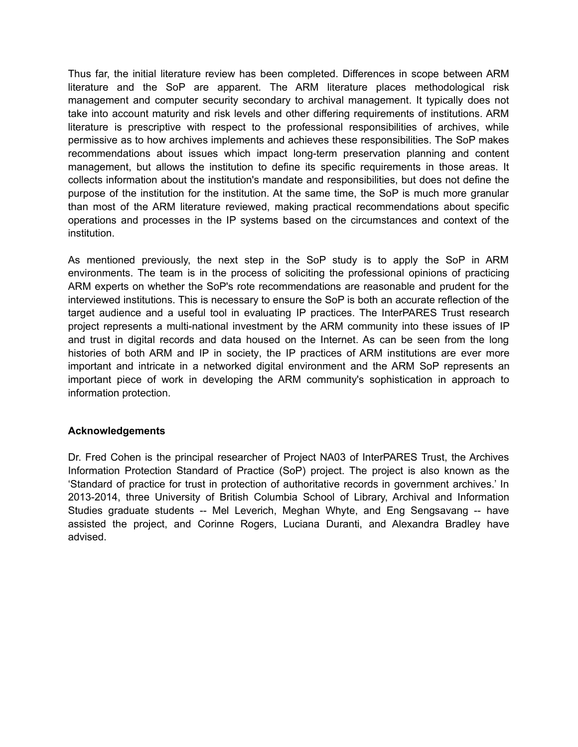Thus far, the initial literature review has been completed. Differences in scope between ARM literature and the SoP are apparent. The ARM literature places methodological risk management and computer security secondary to archival management. It typically does not take into account maturity and risk levels and other differing requirements of institutions. ARM literature is prescriptive with respect to the professional responsibilities of archives, while permissive as to how archives implements and achieves these responsibilities. The SoP makes recommendations about issues which impact long-term preservation planning and content management, but allows the institution to define its specific requirements in those areas. It collects information about the institution's mandate and responsibilities, but does not define the purpose of the institution for the institution. At the same time, the SoP is much more granular than most of the ARM literature reviewed, making practical recommendations about specific operations and processes in the IP systems based on the circumstances and context of the institution.

As mentioned previously, the next step in the SoP study is to apply the SoP in ARM environments. The team is in the process of soliciting the professional opinions of practicing ARM experts on whether the SoP's rote recommendations are reasonable and prudent for the interviewed institutions. This is necessary to ensure the SoP is both an accurate reflection of the target audience and a useful tool in evaluating IP practices. The InterPARES Trust research project represents a multi-national investment by the ARM community into these issues of IP and trust in digital records and data housed on the Internet. As can be seen from the long histories of both ARM and IP in society, the IP practices of ARM institutions are ever more important and intricate in a networked digital environment and the ARM SoP represents an important piece of work in developing the ARM community's sophistication in approach to information protection.

#### **Acknowledgements**

Dr. Fred Cohen is the principal researcher of Project NA03 of InterPARES Trust, the Archives Information Protection Standard of Practice (SoP) project. The project is also known as the 'Standard of practice for trust in protection of authoritative records in government archives.' In 2013-2014, three University of British Columbia School of Library, Archival and Information Studies graduate students -- Mel Leverich, Meghan Whyte, and Eng Sengsavang -- have assisted the project, and Corinne Rogers, Luciana Duranti, and Alexandra Bradley have advised.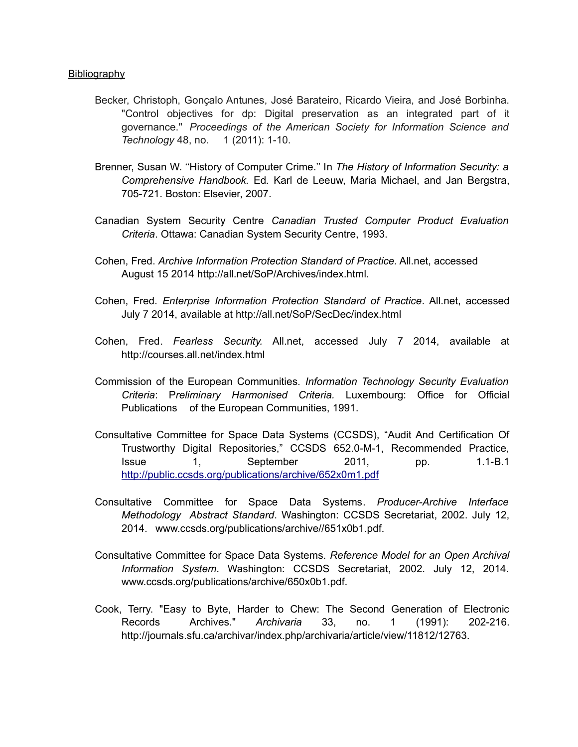#### Bibliography

- Becker, Christoph, Gonçalo Antunes, José Barateiro, Ricardo Vieira, and José Borbinha. "Control objectives for dp: Digital preservation as an integrated part of it governance." *Proceedings of the American Society for Information Science and Technology* 48, no. 1 (2011): 1-10.
- Brenner, Susan W. ''History of Computer Crime.'' In *The History of Information Security: a Comprehensive Handbook.* Ed*.* Karl de Leeuw, Maria Michael, and Jan Bergstra, 705-721. Boston: Elsevier, 2007.
- Canadian System Security Centre *Canadian Trusted Computer Product Evaluation Criteria*. Ottawa: Canadian System Security Centre, 1993.
- Cohen, Fred. *Archive Information Protection Standard of Practice.* All.net, accessed August 15 2014 http://all.net/SoP/Archives/index.html.
- Cohen, Fred. *Enterprise Information Protection Standard of Practice*. All.net, accessed July 7 2014, available at http://all.net/SoP/SecDec/index.html
- Cohen, Fred. *Fearless Security.* All.net, accessed July 7 2014, available at http://courses.all.net/index.html
- Commission of the European Communities. *Information Technology Security Evaluation Criteria*: P*reliminary Harmonised Criteria.* Luxembourg: Office for Official Publications of the European Communities, 1991.
- Consultative Committee for Space Data Systems (CCSDS), "Audit And Certification Of Trustworthy Digital Repositories," CCSDS 652.0-M-1, Recommended Practice, Issue 1, September 2011, pp. 1.1-B.1 <http://public.ccsds.org/publications/archive/652x0m1.pdf>
- Consultative Committee for Space Data Systems. *Producer-Archive Interface Methodology Abstract Standard*. Washington: CCSDS Secretariat, 2002. July 12, 2014. www.ccsds.org/publications/archive//651x0b1.pdf.
- Consultative Committee for Space Data Systems. *Reference Model for an Open Archival Information System*. Washington: CCSDS Secretariat, 2002. July 12, 2014. www.ccsds.org/publications/archive/650x0b1.pdf.
- Cook, Terry. "Easy to Byte, Harder to Chew: The Second Generation of Electronic Records Archives." *Archivaria* 33, no. 1 (1991): 202-216. http://journals.sfu.ca/archivar/index.php/archivaria/article/view/11812/12763.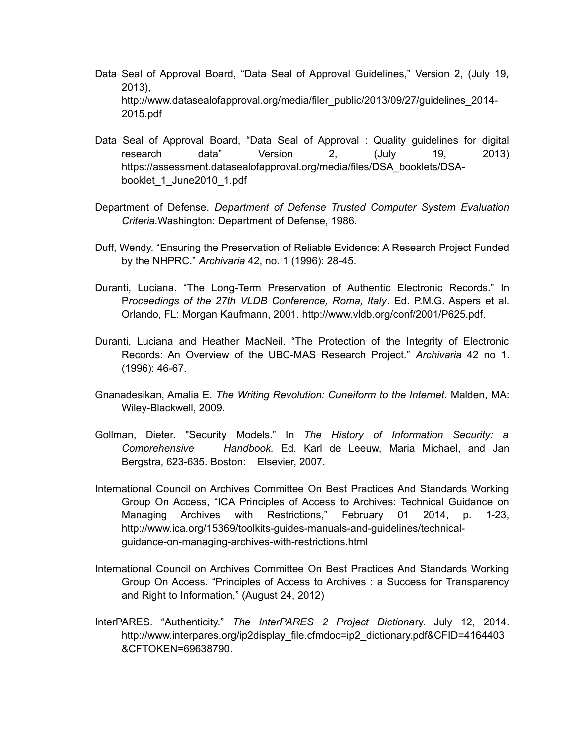- Data Seal of Approval Board, "Data Seal of Approval Guidelines," Version 2, (July 19, 2013), http://www.datasealofapproval.org/media/filer\_public/2013/09/27/guidelines\_2014-2015.pdf
- Data Seal of Approval Board, "Data Seal of Approval : Quality guidelines for digital research data" Version 2, (July 19, 2013) https://assessment.datasealofapproval.org/media/files/DSA\_booklets/DSAbooklet\_1\_June2010\_1.pdf
- Department of Defense. *Department of Defense Trusted Computer System Evaluation Criteria.*Washington: Department of Defense, 1986.
- Duff, Wendy. "Ensuring the Preservation of Reliable Evidence: A Research Project Funded by the NHPRC." *Archivaria* 42, no. 1 (1996): 28-45.
- Duranti, Luciana. "The Long-Term Preservation of Authentic Electronic Records." In P*roceedings of the 27th VLDB Conference, Roma, Italy*. Ed. P.M.G. Aspers et al. Orlando, FL: Morgan Kaufmann, 2001. http://www.vldb.org/conf/2001/P625.pdf.
- Duranti, Luciana and Heather MacNeil. "The Protection of the Integrity of Electronic Records: An Overview of the UBC-MAS Research Project." *Archivaria* 42 no 1. (1996): 46-67.
- Gnanadesikan, Amalia E. *The Writing Revolution: Cuneiform to the Internet.* Malden, MA: Wiley-Blackwell, 2009.
- Gollman, Dieter. "Security Models." In *The History of Information Security: a Comprehensive Handbook.* Ed*.* Karl de Leeuw, Maria Michael, and Jan Bergstra, 623-635. Boston: Elsevier, 2007.
- International Council on Archives Committee On Best Practices And Standards Working Group On Access, "ICA Principles of Access to Archives: Technical Guidance on Managing Archives with Restrictions," February 01 2014, p. 1-23, http://www.ica.org/15369/toolkits-guides-manuals-and-guidelines/technicalguidance-on-managing-archives-with-restrictions.html
- International Council on Archives Committee On Best Practices And Standards Working Group On Access. "Principles of Access to Archives : a Success for Transparency and Right to Information," (August 24, 2012)
- InterPARES. "Authenticity." *The InterPARES 2 Project Dictiona*ry. July 12, 2014. http://www.interpares.org/ip2display\_file.cfmdoc=ip2\_dictionary.pdf&CFID=4164403 &CFTOKEN=69638790.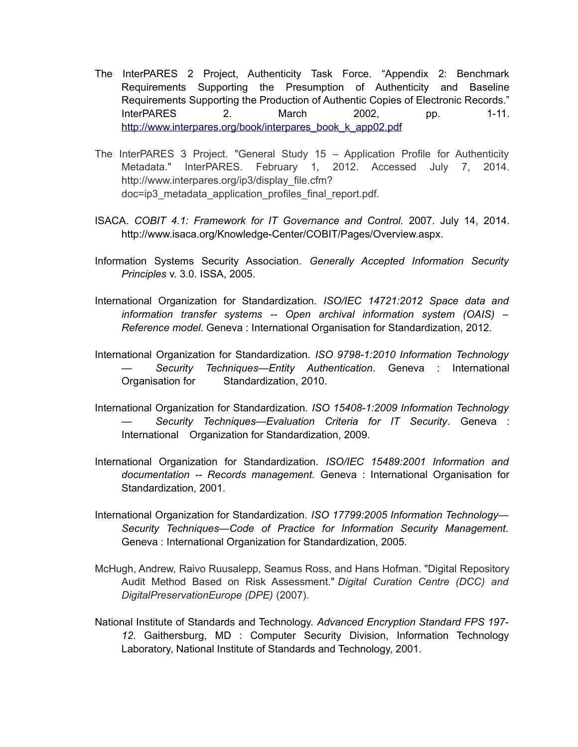- The InterPARES 2 Project, Authenticity Task Force. "Appendix 2: Benchmark Requirements Supporting the Presumption of Authenticity and Baseline Requirements Supporting the Production of Authentic Copies of Electronic Records." InterPARES 2. March 2002, pp. 1-11. [http://www.interpares.org/book/interpares\\_book\\_k\\_app02.pdf](http://www.interpares.org/book/interpares_book_k_app02.pdf)
- The InterPARES 3 Project. "General Study 15 Application Profile for Authenticity Metadata." InterPARES. February 1, 2012. Accessed July 7, 2014. http://www.interpares.org/ip3/display\_file.cfm? doc=ip3\_metadata\_application\_profiles\_final\_report.pdf.
- ISACA. *COBIT 4.1: Framework for IT Governance and Control.* 2007. July 14, 2014. http://www.isaca.org/Knowledge-Center/COBIT/Pages/Overview.aspx.
- Information Systems Security Association. *Generally Accepted Information Security Principles* v. 3.0. ISSA, 2005.
- International Organization for Standardization. *ISO/IEC 14721:2012 Space data and information transfer systems -- Open archival information system (OAIS) – Reference model*. Geneva : International Organisation for Standardization, 2012.
- International Organization for Standardization. *ISO 9798-1:2010 Information Technology — Security Techniques—Entity Authentication*. Geneva : International Organisation for Standardization, 2010.
- International Organization for Standardization. *ISO 15408-1:2009 Information Technology — Security Techniques—Evaluation Criteria for IT Security*. Geneva : International Organization for Standardization, 2009.
- International Organization for Standardization. *ISO/IEC 15489:2001 Information and documentation -- Records management.* Geneva : International Organisation for Standardization, 2001.
- International Organization for Standardization. *ISO 17799:2005 Information Technology— Security Techniques—Code of Practice for Information Security Management.* Geneva : International Organization for Standardization, 2005.
- McHugh, Andrew, Raivo Ruusalepp, Seamus Ross, and Hans Hofman. "Digital Repository Audit Method Based on Risk Assessment." *Digital Curation Centre (DCC) and DigitalPreservationEurope (DPE)* (2007).
- National Institute of Standards and Technology. *Advanced Encryption Standard FPS 197- 12*. Gaithersburg, MD : Computer Security Division, Information Technology Laboratory, National Institute of Standards and Technology, 2001.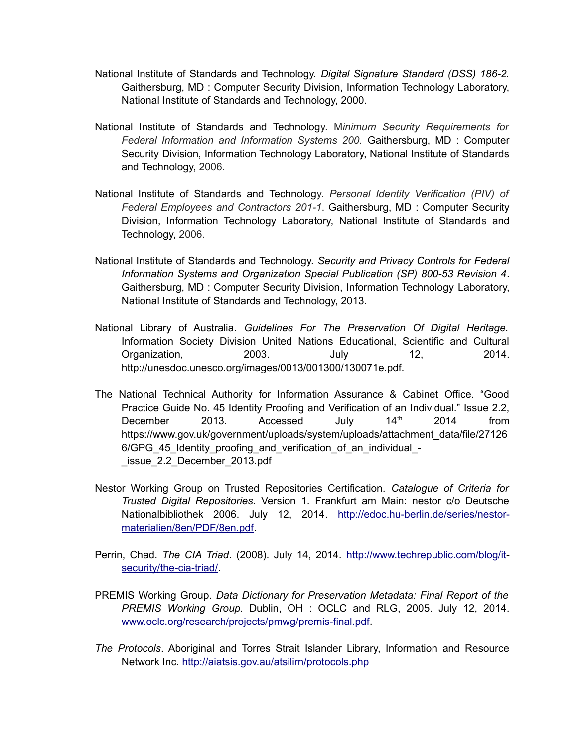- National Institute of Standards and Technology. *Digital Signature Standard (DSS) 186-2.* Gaithersburg, MD : Computer Security Division, Information Technology Laboratory, National Institute of Standards and Technology, 2000.
- National Institute of Standards and Technology. M*inimum Security Requirements for Federal Information and Information Systems 200.* Gaithersburg, MD : Computer Security Division, Information Technology Laboratory, National Institute of Standards and Technology, 2006.
- National Institute of Standards and Technology. *Personal Identity Verification (PIV) of Federal Employees and Contractors 201-1*. Gaithersburg, MD : Computer Security Division, Information Technology Laboratory, National Institute of Standards and Technology, 2006.
- National Institute of Standards and Technology. *Security and Privacy Controls for Federal Information Systems and Organization Special Publication (SP) 800-53 Revision 4*. Gaithersburg, MD : Computer Security Division, Information Technology Laboratory, National Institute of Standards and Technology, 2013.
- National Library of Australia. *Guidelines For The Preservation Of Digital Heritage.* Information Society Division United Nations Educational, Scientific and Cultural Organization, 2003. July 12, 2014. http://unesdoc.unesco.org/images/0013/001300/130071e.pdf.
- The National Technical Authority for Information Assurance & Cabinet Office. "Good Practice Guide No. 45 Identity Proofing and Verification of an Individual." Issue 2.2, December 2013. Accessed July 14<sup>th</sup> 2014 from https://www.gov.uk/government/uploads/system/uploads/attachment\_data/file/27126 6/GPG 45 Identity proofing and verification of an individual -\_issue\_2.2\_December\_2013.pdf
- Nestor Working Group on Trusted Repositories Certification. *Catalogue of Criteria for Trusted Digital Repositories.* Version 1. Frankfurt am Main: nestor c/o Deutsche Nationalbibliothek 2006. July 12, 2014. [http://edoc.hu-berlin.de/series/nestor](http://edoc.hu-berlin.de/series/nestor-materialien/8en/PDF/8en.pdf)[materialien/8en/PDF/8en.pdf.](http://edoc.hu-berlin.de/series/nestor-materialien/8en/PDF/8en.pdf)
- Perrin, Chad. *The CIA Triad.* (2008). July 14, 2014. [http://www.techrepublic.com/blog/it](http://www.techrepublic.com/blog/it-security/the-cia-triad/)[security/the-cia-triad/.](http://www.techrepublic.com/blog/it-security/the-cia-triad/)
- PREMIS Working Group. *Data Dictionary for Preservation Metadata: Final Report of the PREMIS Working Group.* Dublin, OH : OCLC and RLG, 2005. July 12, 2014. [www.oclc.org/research/projects/pmwg/premis-final.pdf.](http://www.oclc.org/research/projects/pmwg/premis-final.pdf)
- *The Protocols*. Aboriginal and Torres Strait Islander Library, Information and Resource Network Inc.<http://aiatsis.gov.au/atsilirn/protocols.php>